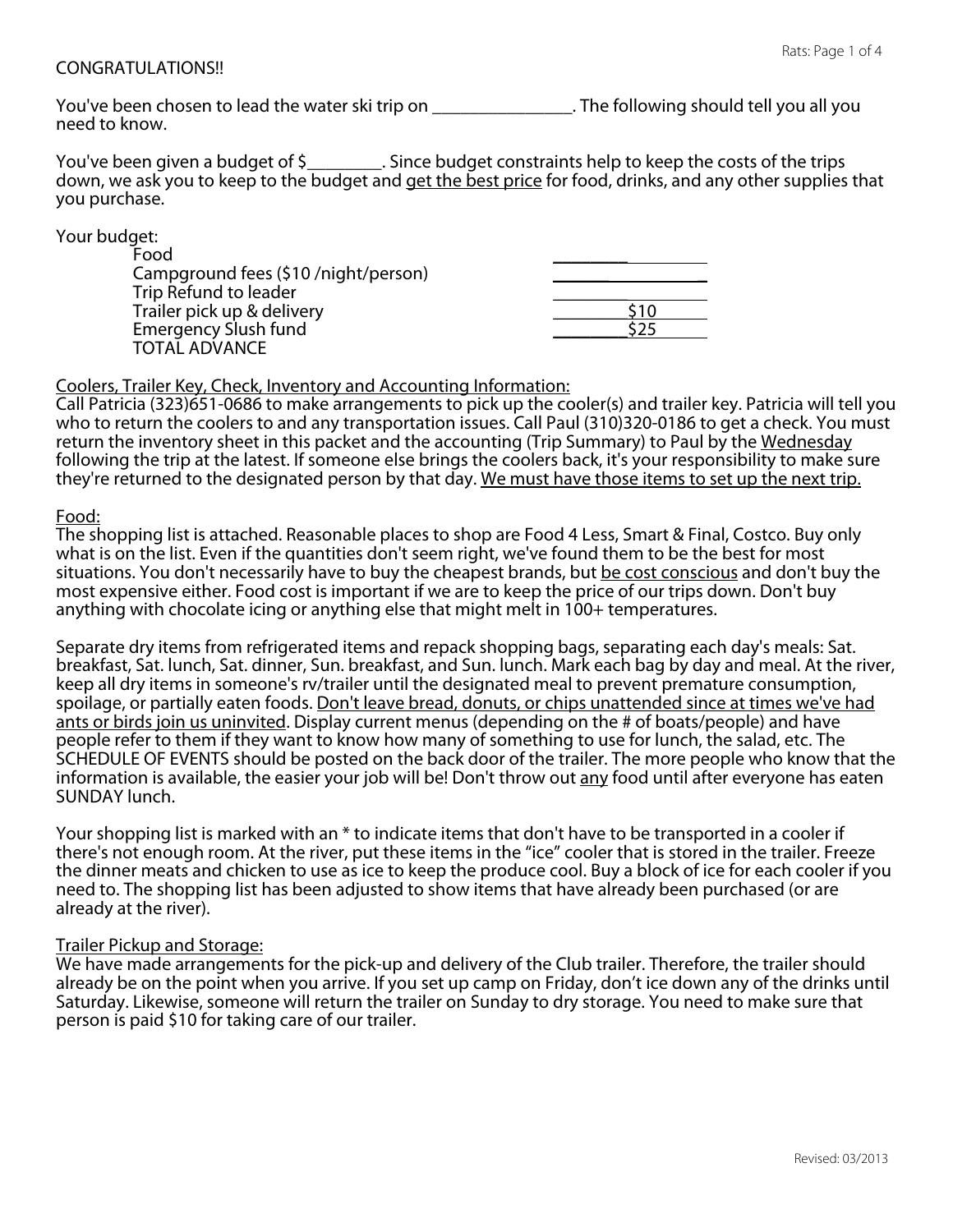### CONGRATULATIONS!!

You've been chosen to lead the water ski trip on \_\_\_\_\_\_\_\_\_\_\_\_\_\_\_\_. The following should tell you all you need to know.

You've been given a budget of \$\_\_\_\_\_\_\_\_. Since budget constraints help to keep the costs of the trips down, we ask you to keep to the budget and get the best price for food, drinks, and any other supplies that you purchase.

Your budget:

| Food                                |  |
|-------------------------------------|--|
| Campground fees (\$10/night/person) |  |
| Trip Refund to leader               |  |
| Trailer pick up & delivery          |  |
| <b>Emergency Slush fund</b>         |  |
| <b>TOTAL ADVANCE</b>                |  |

### Coolers, Trailer Key, Check, Inventory and Accounting Information:

Call Patricia (323)651-0686 to make arrangements to pick up the cooler(s) and trailer key. Patricia will tell you who to return the coolers to and any transportation issues. Call Paul (310)320-0186 to get a check. You must return the inventory sheet in this packet and the accounting (Trip Summary) to Paul by the Wednesday following the trip at the latest. If someone else brings the coolers back, it's your responsibility to make sure they're returned to the designated person by that day. We must have those items to set up the next trip.

### Food:

The shopping list is attached. Reasonable places to shop are Food 4 Less, Smart & Final, Costco. Buy only what is on the list. Even if the quantities don't seem right, we've found them to be the best for most situations. You don't necessarily have to buy the cheapest brands, but be cost conscious and don't buy the most expensive either. Food cost is important if we are to keep the price of our trips down. Don't buy anything with chocolate icing or anything else that might melt in 100+ temperatures.

Separate dry items from refrigerated items and repack shopping bags, separating each day's meals: Sat. breakfast, Sat. lunch, Sat. dinner, Sun. breakfast, and Sun. lunch. Mark each bag by day and meal. At the river, keep all dry items in someone's rv/trailer until the designated meal to prevent premature consumption, spoilage, or partially eaten foods. Don't leave bread, donuts, or chips unattended since at times we've had ants or birds join us uninvited. Display current menus (depending on the # of boats/people) and have people refer to them if they want to know how many of something to use for lunch, the salad, etc. The SCHEDULE OF EVENTS should be posted on the back door of the trailer. The more people who know that the information is available, the easier your job will be! Don't throw out any food until after everyone has eaten SUNDAY lunch.

Your shopping list is marked with an \* to indicate items that don't have to be transported in a cooler if there's not enough room. At the river, put these items in the "ice" cooler that is stored in the trailer. Freeze the dinner meats and chicken to use as ice to keep the produce cool. Buy a block of ice for each cooler if you need to. The shopping list has been adjusted to show items that have already been purchased (or are already at the river).

#### Trailer Pickup and Storage:

We have made arrangements for the pick-up and delivery of the Club trailer. Therefore, the trailer should already be on the point when you arrive. If you set up camp on Friday, don't ice down any of the drinks until Saturday. Likewise, someone will return the trailer on Sunday to dry storage. You need to make sure that person is paid \$10 for taking care of our trailer.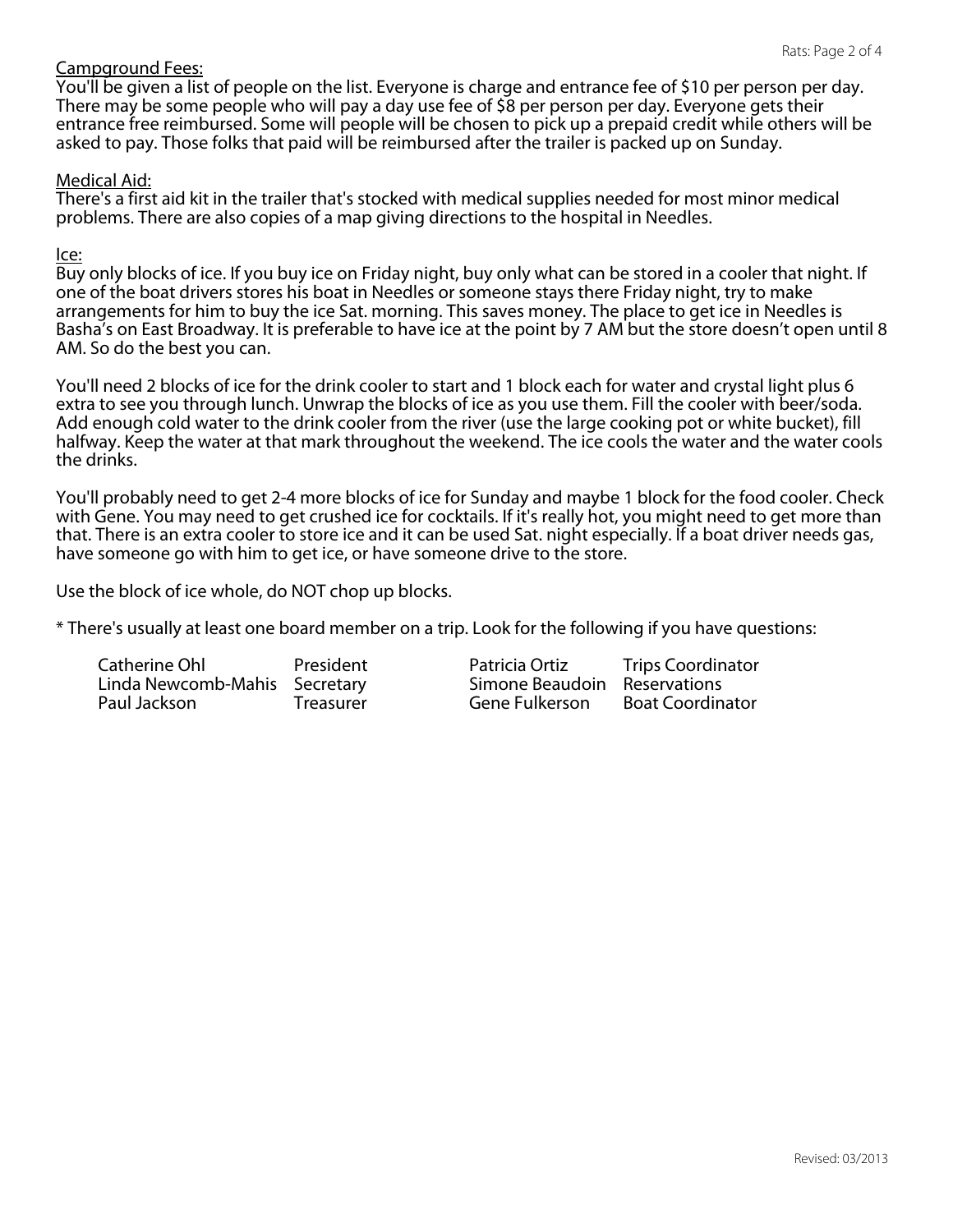# Campground Fees:

You'll be given a list of people on the list. Everyone is charge and entrance fee of \$10 per person per day. There may be some people who will pay a day use fee of \$8 per person per day. Everyone gets their entrance free reimbursed. Some will people will be chosen to pick up a prepaid credit while others will be asked to pay. Those folks that paid will be reimbursed after the trailer is packed up on Sunday.

### Medical Aid:

There's a first aid kit in the trailer that's stocked with medical supplies needed for most minor medical problems. There are also copies of a map giving directions to the hospital in Needles.

#### Ice:

Buy only blocks of ice. If you buy ice on Friday night, buy only what can be stored in a cooler that night. If one of the boat drivers stores his boat in Needles or someone stays there Friday night, try to make arrangements for him to buy the ice Sat. morning. This saves money. The place to get ice in Needles is Basha's on East Broadway. It is preferable to have ice at the point by 7 AM but the store doesn't open until 8 AM. So do the best you can.

You'll need 2 blocks of ice for the drink cooler to start and 1 block each for water and crystal light plus 6 extra to see you through lunch. Unwrap the blocks of ice as you use them. Fill the cooler with beer/soda. Add enough cold water to the drink cooler from the river (use the large cooking pot or white bucket), fill halfway. Keep the water at that mark throughout the weekend. The ice cools the water and the water cools the drinks.

You'll probably need to get 2-4 more blocks of ice for Sunday and maybe 1 block for the food cooler. Check with Gene. You may need to get crushed ice for cocktails. If it's really hot, you might need to get more than that. There is an extra cooler to store ice and it can be used Sat. night especially. If a boat driver needs gas, have someone go with him to get ice, or have someone drive to the store.

Use the block of ice whole, do NOT chop up blocks.

\* There's usually at least one board member on a trip. Look for the following if you have questions:

| Catherine Ohl                 | President | Pat |
|-------------------------------|-----------|-----|
| Linda Newcomb-Mahis Secretary |           | Sin |
| Paul Jackson                  | Treasurer | Ge  |

tricia Ortiz Trips Coordinator none Beaudoin Reservations<br>ne Fulkerson Boat Coordin **Boat Coordinator**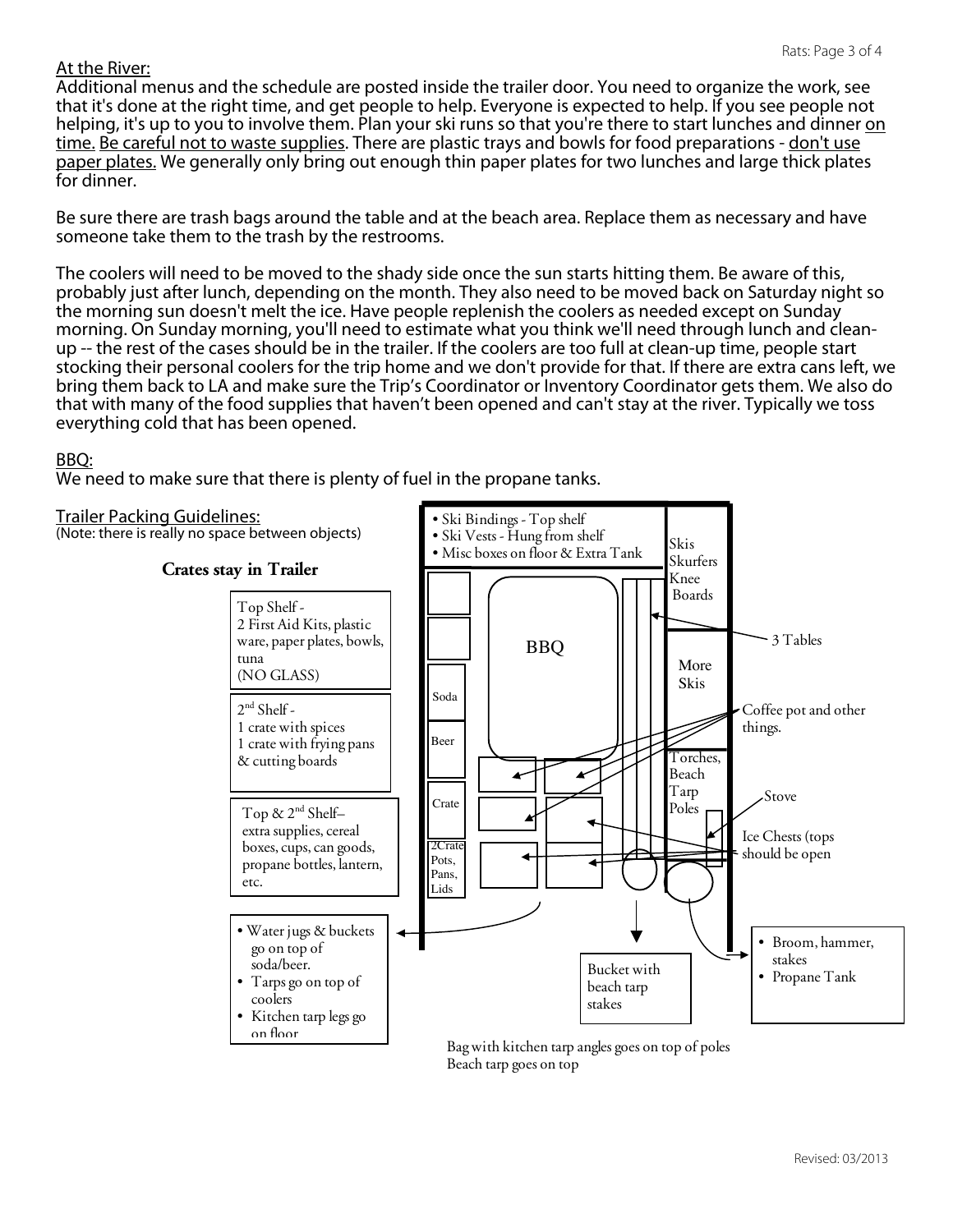### At the River:

Additional menus and the schedule are posted inside the trailer door. You need to organize the work, see that it's done at the right time, and get people to help. Everyone is expected to help. If you see people not helping, it's up to you to involve them. Plan your ski runs so that you're there to start lunches and dinner on time. Be careful not to waste supplies. There are plastic trays and bowls for food preparations - don't use paper plates. We generally only bring out enough thin paper plates for two lunches and large thick plates for dinner.

Be sure there are trash bags around the table and at the beach area. Replace them as necessary and have someone take them to the trash by the restrooms.

The coolers will need to be moved to the shady side once the sun starts hitting them. Be aware of this, probably just after lunch, depending on the month. They also need to be moved back on Saturday night so the morning sun doesn't melt the ice. Have people replenish the coolers as needed except on Sunday morning. On Sunday morning, you'll need to estimate what you think we'll need through lunch and clean-<br>up -- the rest of the cases should be in the trailer. If the coolers are too full at clean-up time, people start stocking their personal coolers for the trip home and we don't provide for that. If there are extra cans left, we bring them back to LA and make sure the Trip's Coordinator or Inventory Coordinator gets them. We also do that with many of the food supplies that haven't been opened and can't stay at the river. Typically we toss everything cold that has been opened.

### BBQ:

We need to make sure that there is plenty of fuel in the propane tanks.



Trailer Packing Guidelines:<br>(Note: there is really no space between objects) • Ski Vests - Hung from sh



Beach tarp goes on top